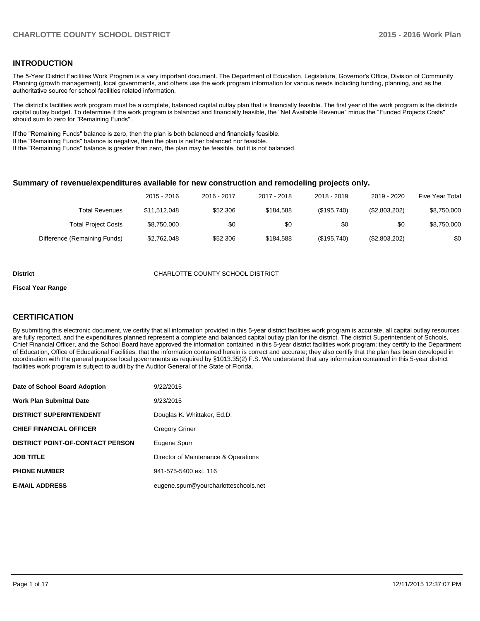### **INTRODUCTION**

The 5-Year District Facilities Work Program is a very important document. The Department of Education, Legislature, Governor's Office, Division of Community Planning (growth management), local governments, and others use the work program information for various needs including funding, planning, and as the authoritative source for school facilities related information.

The district's facilities work program must be a complete, balanced capital outlay plan that is financially feasible. The first year of the work program is the districts capital outlay budget. To determine if the work program is balanced and financially feasible, the "Net Available Revenue" minus the "Funded Projects Costs" should sum to zero for "Remaining Funds".

If the "Remaining Funds" balance is zero, then the plan is both balanced and financially feasible.

If the "Remaining Funds" balance is negative, then the plan is neither balanced nor feasible.

If the "Remaining Funds" balance is greater than zero, the plan may be feasible, but it is not balanced.

#### **Summary of revenue/expenditures available for new construction and remodeling projects only.**

| Five Year Total | 2019 - 2020   | 2018 - 2019 | 2017 - 2018 | 2016 - 2017 | 2015 - 2016  |                              |
|-----------------|---------------|-------------|-------------|-------------|--------------|------------------------------|
| \$8,750,000     | (\$2,803,202) | (\$195,740) | \$184.588   | \$52,306    | \$11.512.048 | Total Revenues               |
| \$8,750,000     | \$0           | \$0         | \$0         | \$0         | \$8,750,000  | <b>Total Project Costs</b>   |
| \$0             | (\$2,803,202) | (\$195,740) | \$184.588   | \$52,306    | \$2,762,048  | Difference (Remaining Funds) |

#### **District CHARLOTTE COUNTY SCHOOL DISTRICT**

#### **Fiscal Year Range**

## **CERTIFICATION**

By submitting this electronic document, we certify that all information provided in this 5-year district facilities work program is accurate, all capital outlay resources are fully reported, and the expenditures planned represent a complete and balanced capital outlay plan for the district. The district Superintendent of Schools, Chief Financial Officer, and the School Board have approved the information contained in this 5-year district facilities work program; they certify to the Department of Education, Office of Educational Facilities, that the information contained herein is correct and accurate; they also certify that the plan has been developed in coordination with the general purpose local governments as required by §1013.35(2) F.S. We understand that any information contained in this 5-year district facilities work program is subject to audit by the Auditor General of the State of Florida.

| Date of School Board Adoption           | 9/22/2015                             |
|-----------------------------------------|---------------------------------------|
| <b>Work Plan Submittal Date</b>         | 9/23/2015                             |
| <b>DISTRICT SUPERINTENDENT</b>          | Douglas K. Whittaker, Ed.D.           |
| <b>CHIEF FINANCIAL OFFICER</b>          | <b>Gregory Griner</b>                 |
| <b>DISTRICT POINT-OF-CONTACT PERSON</b> | Eugene Spurr                          |
| <b>JOB TITLE</b>                        | Director of Maintenance & Operations  |
| <b>PHONE NUMBER</b>                     | 941-575-5400 ext. 116                 |
| <b>E-MAIL ADDRESS</b>                   | eugene.spurr@yourcharlotteschools.net |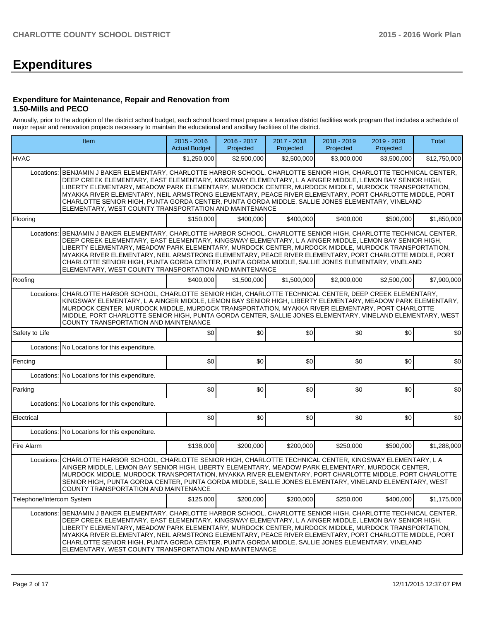# **Expenditures**

#### **Expenditure for Maintenance, Repair and Renovation from 1.50-Mills and PECO**

Annually, prior to the adoption of the district school budget, each school board must prepare a tentative district facilities work program that includes a schedule of major repair and renovation projects necessary to maintain the educational and ancillary facilities of the district.

|                           | Item                                                                                                                                                                                                                                                                                                                                                                                                                                                                                                                                                                                                          | $2015 - 2016$<br><b>Actual Budget</b> | 2016 - 2017<br>Projected | 2017 - 2018<br>Projected | 2018 - 2019<br>Projected | 2019 - 2020<br>Projected | <b>Total</b> |  |  |  |
|---------------------------|---------------------------------------------------------------------------------------------------------------------------------------------------------------------------------------------------------------------------------------------------------------------------------------------------------------------------------------------------------------------------------------------------------------------------------------------------------------------------------------------------------------------------------------------------------------------------------------------------------------|---------------------------------------|--------------------------|--------------------------|--------------------------|--------------------------|--------------|--|--|--|
| <b>HVAC</b>               |                                                                                                                                                                                                                                                                                                                                                                                                                                                                                                                                                                                                               | \$1,250,000                           | \$2,500,000              | \$2,500,000              | \$3,000,000              | \$3,500,000              | \$12,750,000 |  |  |  |
|                           | Locations: BENJAMIN J BAKER ELEMENTARY, CHARLOTTE HARBOR SCHOOL, CHARLOTTE SENIOR HIGH, CHARLOTTE TECHNICAL CENTER,<br>DEEP CREEK ELEMENTARY, EAST ELEMENTARY, KINGSWAY ELEMENTARY, L A AINGER MIDDLE, LEMON BAY SENIOR HIGH,<br>LIBERTY ELEMENTARY, MEADOW PARK ELEMENTARY, MURDOCK CENTER, MURDOCK MIDDLE, MURDOCK TRANSPORTATION,<br>MYAKKA RIVER ELEMENTARY, NEIL ARMSTRONG ELEMENTARY, PEACE RIVER ELEMENTARY, PORT CHARLOTTE MIDDLE, PORT<br>CHARLOTTE SENIOR HIGH, PUNTA GORDA CENTER, PUNTA GORDA MIDDLE, SALLIE JONES ELEMENTARY, VINELAND<br>ELEMENTARY, WEST COUNTY TRANSPORTATION AND MAINTENANCE |                                       |                          |                          |                          |                          |              |  |  |  |
| Floorina                  |                                                                                                                                                                                                                                                                                                                                                                                                                                                                                                                                                                                                               | \$150,000                             | \$400.000                | \$400,000                | \$400,000                | \$500,000                | \$1,850,000  |  |  |  |
| Locations:                | BENJAMIN J BAKER ELEMENTARY, CHARLOTTE HARBOR SCHOOL, CHARLOTTE SENIOR HIGH, CHARLOTTE TECHNICAL CENTER,<br>DEEP CREEK ELEMENTARY, EAST ELEMENTARY, KINGSWAY ELEMENTARY, L A AINGER MIDDLE, LEMON BAY SENIOR HIGH,<br>LIBERTY ELEMENTARY, MEADOW PARK ELEMENTARY, MURDOCK CENTER, MURDOCK MIDDLE, MURDOCK TRANSPORTATION,<br>MYAKKA RIVER ELEMENTARY, NEIL ARMSTRONG ELEMENTARY, PEACE RIVER ELEMENTARY, PORT CHARLOTTE MIDDLE, PORT<br>CHARLOTTE SENIOR HIGH, PUNTA GORDA CENTER, PUNTA GORDA MIDDLE, SALLIE JONES ELEMENTARY, VINELAND<br>ELEMENTARY, WEST COUNTY TRANSPORTATION AND MAINTENANCE            |                                       |                          |                          |                          |                          |              |  |  |  |
| Roofing                   |                                                                                                                                                                                                                                                                                                                                                                                                                                                                                                                                                                                                               | \$400,000                             | \$1,500,000              | \$1,500,000              | \$2,000,000              | \$2,500,000              | \$7,900,000  |  |  |  |
| Locations:                | CHARLOTTE HARBOR SCHOOL, CHARLOTTE SENIOR HIGH, CHARLOTTE TECHNICAL CENTER, DEEP CREEK ELEMENTARY,<br>KINGSWAY ELEMENTARY, L A AINGER MIDDLE, LEMON BAY SENIOR HIGH, LIBERTY ELEMENTARY, MEADOW PARK ELEMENTARY,<br>MURDOCK CENTER, MURDOCK MIDDLE, MURDOCK TRANSPORTATION, MYAKKA RIVER ELEMENTARY, PORT CHARLOTTE<br>MIDDLE, PORT CHARLOTTE SENIOR HIGH, PUNTA GORDA CENTER, SALLIE JONES ELEMENTARY, VINELAND ELEMENTARY, WEST<br>COUNTY TRANSPORTATION AND MAINTENANCE                                                                                                                                    |                                       |                          |                          |                          |                          |              |  |  |  |
| Safety to Life            |                                                                                                                                                                                                                                                                                                                                                                                                                                                                                                                                                                                                               | \$0                                   | \$0                      | 30                       | \$0                      | \$0                      | \$0          |  |  |  |
|                           | Locations: No Locations for this expenditure.                                                                                                                                                                                                                                                                                                                                                                                                                                                                                                                                                                 |                                       |                          |                          |                          |                          |              |  |  |  |
| Fencing                   |                                                                                                                                                                                                                                                                                                                                                                                                                                                                                                                                                                                                               | \$0                                   | \$0                      | \$0                      | \$0                      | \$0                      | \$0          |  |  |  |
|                           | Locations: No Locations for this expenditure.                                                                                                                                                                                                                                                                                                                                                                                                                                                                                                                                                                 |                                       |                          |                          |                          |                          |              |  |  |  |
| Parking                   |                                                                                                                                                                                                                                                                                                                                                                                                                                                                                                                                                                                                               | \$0                                   | \$0                      | \$0                      | \$0                      | \$0                      | \$0          |  |  |  |
|                           | Locations: No Locations for this expenditure.                                                                                                                                                                                                                                                                                                                                                                                                                                                                                                                                                                 |                                       |                          |                          |                          |                          |              |  |  |  |
| Electrical                |                                                                                                                                                                                                                                                                                                                                                                                                                                                                                                                                                                                                               | \$0                                   | \$0                      | \$0                      | \$0                      | \$0                      | \$0          |  |  |  |
|                           | Locations: No Locations for this expenditure.                                                                                                                                                                                                                                                                                                                                                                                                                                                                                                                                                                 |                                       |                          |                          |                          |                          |              |  |  |  |
| Fire Alarm                |                                                                                                                                                                                                                                                                                                                                                                                                                                                                                                                                                                                                               | \$138,000                             | \$200,000                | \$200,000                | \$250,000                | \$500,000                | \$1,288,000  |  |  |  |
| Locations:                | CHARLOTTE HARBOR SCHOOL, CHARLOTTE SENIOR HIGH, CHARLOTTE TECHNICAL CENTER, KINGSWAY ELEMENTARY, L A<br>AINGER MIDDLE, LEMON BAY SENIOR HIGH, LIBERTY ELEMENTARY, MEADOW PARK ELEMENTARY, MURDOCK CENTER,<br>MURDOCK MIDDLE, MURDOCK TRANSPORTATION, MYAKKA RIVER ELEMENTARY, PORT CHARLOTTE MIDDLE, PORT CHARLOTTE<br>SENIOR HIGH, PUNTA GORDA CENTER, PUNTA GORDA MIDDLE, SALLIE JONES ELEMENTARY, VINELAND ELEMENTARY, WEST<br>COUNTY TRANSPORTATION AND MAINTENANCE                                                                                                                                       |                                       |                          |                          |                          |                          |              |  |  |  |
| Telephone/Intercom System |                                                                                                                                                                                                                                                                                                                                                                                                                                                                                                                                                                                                               | \$125,000                             | \$200,000                | \$200,000                | \$250,000                | \$400,000                | \$1,175,000  |  |  |  |
|                           | Locations: BENJAMIN J BAKER ELEMENTARY, CHARLOTTE HARBOR SCHOOL, CHARLOTTE SENIOR HIGH, CHARLOTTE TECHNICAL CENTER,<br>DEEP CREEK ELEMENTARY, EAST ELEMENTARY, KINGSWAY ELEMENTARY, L A AINGER MIDDLE, LEMON BAY SENIOR HIGH,<br>LIBERTY ELEMENTARY, MEADOW PARK ELEMENTARY, MURDOCK CENTER, MURDOCK MIDDLE, MURDOCK TRANSPORTATION,<br>MYAKKA RIVER ELEMENTARY, NEIL ARMSTRONG ELEMENTARY, PEACE RIVER ELEMENTARY, PORT CHARLOTTE MIDDLE, PORT<br>CHARLOTTE SENIOR HIGH, PUNTA GORDA CENTER, PUNTA GORDA MIDDLE, SALLIE JONES ELEMENTARY, VINELAND<br>ELEMENTARY, WEST COUNTY TRANSPORTATION AND MAINTENANCE |                                       |                          |                          |                          |                          |              |  |  |  |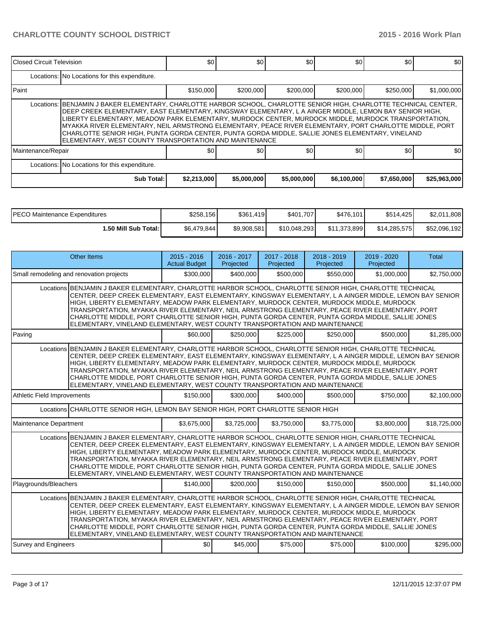| <b>IClosed Circuit Television</b>                                                                                                                                                                                                                                                                                                                                                                                                                                                                                                                                                                             |                                               | \$0         | \$0 <sub>1</sub> | \$0         | \$0         | \$0         | \$0          |  |  |  |
|---------------------------------------------------------------------------------------------------------------------------------------------------------------------------------------------------------------------------------------------------------------------------------------------------------------------------------------------------------------------------------------------------------------------------------------------------------------------------------------------------------------------------------------------------------------------------------------------------------------|-----------------------------------------------|-------------|------------------|-------------|-------------|-------------|--------------|--|--|--|
|                                                                                                                                                                                                                                                                                                                                                                                                                                                                                                                                                                                                               | Locations: No Locations for this expenditure. |             |                  |             |             |             |              |  |  |  |
| l Paint                                                                                                                                                                                                                                                                                                                                                                                                                                                                                                                                                                                                       |                                               | \$150,000   | \$200,000        | \$200,000   | \$200,000   | \$250,000   | \$1,000,000  |  |  |  |
| Locations: BENJAMIN J BAKER ELEMENTARY, CHARLOTTE HARBOR SCHOOL, CHARLOTTE SENIOR HIGH, CHARLOTTE TECHNICAL CENTER,<br>DEEP CREEK ELEMENTARY, EAST ELEMENTARY, KINGSWAY ELEMENTARY, L A AINGER MIDDLE, LEMON BAY SENIOR HIGH,<br>LIBERTY ELEMENTARY. MEADOW PARK ELEMENTARY. MURDOCK CENTER. MURDOCK MIDDLE. MURDOCK TRANSPORTATION.<br>MYAKKA RIVER ELEMENTARY, NEIL ARMSTRONG ELEMENTARY, PEACE RIVER ELEMENTARY, PORT CHARLOTTE MIDDLE, PORT<br>CHARLOTTE SENIOR HIGH, PUNTA GORDA CENTER, PUNTA GORDA MIDDLE, SALLIE JONES ELEMENTARY, VINELAND<br>ELEMENTARY, WEST COUNTY TRANSPORTATION AND MAINTENANCE |                                               |             |                  |             |             |             |              |  |  |  |
| Maintenance/Repair                                                                                                                                                                                                                                                                                                                                                                                                                                                                                                                                                                                            |                                               | 80          | \$0              | \$0         | \$0         | \$0         | \$0          |  |  |  |
|                                                                                                                                                                                                                                                                                                                                                                                                                                                                                                                                                                                                               | Locations: No Locations for this expenditure. |             |                  |             |             |             |              |  |  |  |
|                                                                                                                                                                                                                                                                                                                                                                                                                                                                                                                                                                                                               | Sub Total:                                    | \$2,213,000 | \$5,000,000      | \$5,000,000 | \$6,100,000 | \$7,650,000 | \$25,963,000 |  |  |  |

| IPECO Maintenance Expenditures | \$258,156    | \$361,419   | \$401,707    | \$476,101    | \$514,425    | \$2,011,808  |
|--------------------------------|--------------|-------------|--------------|--------------|--------------|--------------|
| 1.50 Mill Sub Total: I         | \$6,479,844] | \$9.908.581 | \$10.048.293 | \$11,373,899 | \$14,285,575 | \$52,096,192 |

| Other Items                              |                                                                                                                                                                                                                                                                                                                                                                                                                                                                                                                                                                                                              | $2015 - 2016$<br><b>Actual Budget</b> | 2016 - 2017<br>Projected | 2017 - 2018<br>Projected | 2018 - 2019<br>Projected | 2019 - 2020<br>Projected | Total        |  |  |
|------------------------------------------|--------------------------------------------------------------------------------------------------------------------------------------------------------------------------------------------------------------------------------------------------------------------------------------------------------------------------------------------------------------------------------------------------------------------------------------------------------------------------------------------------------------------------------------------------------------------------------------------------------------|---------------------------------------|--------------------------|--------------------------|--------------------------|--------------------------|--------------|--|--|
| Small remodeling and renovation projects |                                                                                                                                                                                                                                                                                                                                                                                                                                                                                                                                                                                                              | \$300,000                             | \$400,000                | \$500,000                | \$550,000                | \$1,000,000              | \$2,750,000  |  |  |
|                                          | Locations BENJAMIN J BAKER ELEMENTARY, CHARLOTTE HARBOR SCHOOL, CHARLOTTE SENIOR HIGH, CHARLOTTE TECHNICAL<br>CENTER, DEEP CREEK ELEMENTARY, EAST ELEMENTARY, KINGSWAY ELEMENTARY, L A AINGER MIDDLE, LEMON BAY SENIOR<br>HIGH, LIBERTY ELEMENTARY, MEADOW PARK ELEMENTARY, MURDOCK CENTER, MURDOCK MIDDLE, MURDOCK<br>TRANSPORTATION, MYAKKA RIVER ELEMENTARY, NEIL ARMSTRONG ELEMENTARY, PEACE RIVER ELEMENTARY, PORT<br>CHARLOTTE MIDDLE, PORT CHARLOTTE SENIOR HIGH, PUNTA GORDA CENTER, PUNTA GORDA MIDDLE, SALLIE JONES<br>ELEMENTARY, VINELAND ELEMENTARY, WEST COUNTY TRANSPORTATION AND MAINTENANCE |                                       |                          |                          |                          |                          |              |  |  |
| Paving                                   |                                                                                                                                                                                                                                                                                                                                                                                                                                                                                                                                                                                                              | \$60,000                              | \$250,000                | \$225,000                | \$250,000                | \$500,000                | \$1,285,000  |  |  |
|                                          | Locations BENJAMIN J BAKER ELEMENTARY, CHARLOTTE HARBOR SCHOOL, CHARLOTTE SENIOR HIGH, CHARLOTTE TECHNICAL<br>CENTER, DEEP CREEK ELEMENTARY, EAST ELEMENTARY, KINGSWAY ELEMENTARY, L A AINGER MIDDLE, LEMON BAY SENIOR<br>HIGH, LIBERTY ELEMENTARY, MEADOW PARK ELEMENTARY, MURDOCK CENTER, MURDOCK MIDDLE, MURDOCK<br>TRANSPORTATION, MYAKKA RIVER ELEMENTARY, NEIL ARMSTRONG ELEMENTARY, PEACE RIVER ELEMENTARY, PORT<br>CHARLOTTE MIDDLE, PORT CHARLOTTE SENIOR HIGH, PUNTA GORDA CENTER, PUNTA GORDA MIDDLE, SALLIE JONES<br>ELEMENTARY, VINELAND ELEMENTARY, WEST COUNTY TRANSPORTATION AND MAINTENANCE |                                       |                          |                          |                          |                          |              |  |  |
| Athletic Field Improvements              | \$150,000                                                                                                                                                                                                                                                                                                                                                                                                                                                                                                                                                                                                    | \$300,000                             | \$400.000                | \$500,000                | \$750,000                | \$2,100,000              |              |  |  |
|                                          | Locations CHARLOTTE SENIOR HIGH, LEMON BAY SENIOR HIGH, PORT CHARLOTTE SENIOR HIGH                                                                                                                                                                                                                                                                                                                                                                                                                                                                                                                           |                                       |                          |                          |                          |                          |              |  |  |
| Maintenance Department                   |                                                                                                                                                                                                                                                                                                                                                                                                                                                                                                                                                                                                              | \$3,675,000                           | \$3,725,000              | \$3,750,000              | \$3,775,000              | \$3,800,000              | \$18,725,000 |  |  |
|                                          | Locations BENJAMIN J BAKER ELEMENTARY, CHARLOTTE HARBOR SCHOOL, CHARLOTTE SENIOR HIGH, CHARLOTTE TECHNICAL<br>CENTER, DEEP CREEK ELEMENTARY, EAST ELEMENTARY, KINGSWAY ELEMENTARY, L A AINGER MIDDLE, LEMON BAY SENIOR<br>HIGH, LIBERTY ELEMENTARY, MEADOW PARK ELEMENTARY, MURDOCK CENTER, MURDOCK MIDDLE, MURDOCK<br>TRANSPORTATION, MYAKKA RIVER ELEMENTARY, NEIL ARMSTRONG ELEMENTARY, PEACE RIVER ELEMENTARY, PORT<br>CHARLOTTE MIDDLE, PORT CHARLOTTE SENIOR HIGH, PUNTA GORDA CENTER, PUNTA GORDA MIDDLE, SALLIE JONES<br>ELEMENTARY, VINELAND ELEMENTARY, WEST COUNTY TRANSPORTATION AND MAINTENANCE |                                       |                          |                          |                          |                          |              |  |  |
| Playgrounds/Bleachers                    |                                                                                                                                                                                                                                                                                                                                                                                                                                                                                                                                                                                                              | \$140,000                             | \$200,000                | \$150,000                | \$150,000                | \$500,000                | \$1,140,000  |  |  |
|                                          | Locations BENJAMIN J BAKER ELEMENTARY, CHARLOTTE HARBOR SCHOOL, CHARLOTTE SENIOR HIGH, CHARLOTTE TECHNICAL<br>CENTER, DEEP CREEK ELEMENTARY, EAST ELEMENTARY, KINGSWAY ELEMENTARY, L A AINGER MIDDLE, LEMON BAY SENIOR<br>HIGH, LIBERTY ELEMENTARY, MEADOW PARK ELEMENTARY, MURDOCK CENTER, MURDOCK MIDDLE, MURDOCK<br>TRANSPORTATION, MYAKKA RIVER ELEMENTARY, NEIL ARMSTRONG ELEMENTARY, PEACE RIVER ELEMENTARY, PORT<br>CHARLOTTE MIDDLE. PORT CHARLOTTE SENIOR HIGH. PUNTA GORDA CENTER. PUNTA GORDA MIDDLE. SALLIE JONES<br>ELEMENTARY, VINELAND ELEMENTARY, WEST COUNTY TRANSPORTATION AND MAINTENANCE |                                       |                          |                          |                          |                          |              |  |  |
| <b>Survey and Engineers</b>              |                                                                                                                                                                                                                                                                                                                                                                                                                                                                                                                                                                                                              | \$0                                   | \$45,000                 | \$75,000                 | \$75,000                 | \$100,000                | \$295,000    |  |  |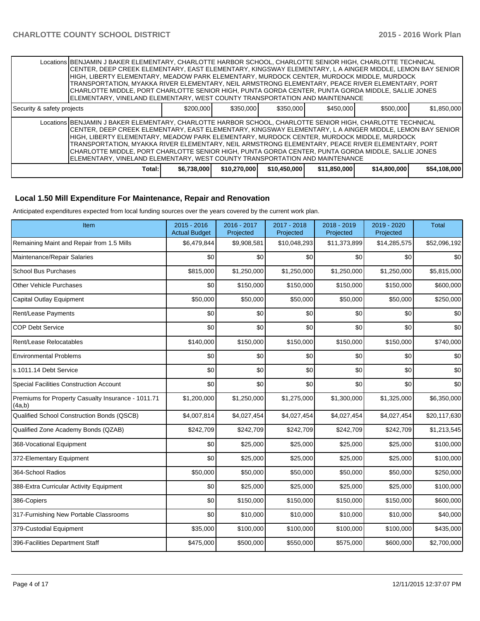|                            | Locations BENJAMIN J BAKER ELEMENTARY, CHARLOTTE HARBOR SCHOOL, CHARLOTTE SENIOR HIGH, CHARLOTTE TECHNICAL<br>CENTER, DEEP CREEK ELEMENTARY, EAST ELEMENTARY, KINGSWAY ELEMENTARY, L A AINGER MIDDLE, LEMON BAY SENIOR<br>HIGH. LIBERTY ELEMENTARY. MEADOW PARK ELEMENTARY. MURDOCK CENTER. MURDOCK MIDDLE. MURDOCK<br>TRANSPORTATION. MYAKKA RIVER ELEMENTARY. NEIL ARMSTRONG ELEMENTARY. PEACE RIVER ELEMENTARY. PORT<br>ICHARLOTTE MIDDLE. PORT CHARLOTTE SENIOR HIGH. PUNTA GORDA CENTER. PUNTA GORDA MIDDLE. SALLIE JONES<br>ELEMENTARY, VINELAND ELEMENTARY, WEST COUNTY TRANSPORTATION AND MAINTENANCE |             |              |              |              |              |              |  |
|----------------------------|---------------------------------------------------------------------------------------------------------------------------------------------------------------------------------------------------------------------------------------------------------------------------------------------------------------------------------------------------------------------------------------------------------------------------------------------------------------------------------------------------------------------------------------------------------------------------------------------------------------|-------------|--------------|--------------|--------------|--------------|--------------|--|
| Security & safety projects |                                                                                                                                                                                                                                                                                                                                                                                                                                                                                                                                                                                                               | \$200,000   | \$350,000    | \$350,000    | \$450,000    | \$500,000    | \$1,850,000  |  |
|                            | Locations BENJAMIN J BAKER ELEMENTARY, CHARLOTTE HARBOR SCHOOL, CHARLOTTE SENIOR HIGH, CHARLOTTE TECHNICAL<br>CENTER, DEEP CREEK ELEMENTARY, EAST ELEMENTARY, KINGSWAY ELEMENTARY, L A AINGER MIDDLE, LEMON BAY SENIOR<br>HIGH. LIBERTY ELEMENTARY. MEADOW PARK ELEMENTARY. MURDOCK CENTER. MURDOCK MIDDLE. MURDOCK<br>TRANSPORTATION, MYAKKA RIVER ELEMENTARY, NEIL ARMSTRONG ELEMENTARY, PEACE RIVER ELEMENTARY, PORT<br>CHARLOTTE MIDDLE, PORT CHARLOTTE SENIOR HIGH, PUNTA GORDA CENTER, PUNTA GORDA MIDDLE, SALLIE JONES<br>ELEMENTARY, VINELAND ELEMENTARY, WEST COUNTY TRANSPORTATION AND MAINTENANCE  |             |              |              |              |              |              |  |
|                            | Total:                                                                                                                                                                                                                                                                                                                                                                                                                                                                                                                                                                                                        | \$6,738,000 | \$10,270,000 | \$10,450,000 | \$11,850,000 | \$14,800,000 | \$54,108,000 |  |

### **Local 1.50 Mill Expenditure For Maintenance, Repair and Renovation**

Anticipated expenditures expected from local funding sources over the years covered by the current work plan.

| Item                                                         | 2015 - 2016<br><b>Actual Budget</b> | 2016 - 2017<br>Projected | 2017 - 2018<br>Projected | 2018 - 2019<br>Projected | 2019 - 2020<br>Projected | <b>Total</b> |
|--------------------------------------------------------------|-------------------------------------|--------------------------|--------------------------|--------------------------|--------------------------|--------------|
| Remaining Maint and Repair from 1.5 Mills                    | \$6,479,844                         | \$9,908,581              | \$10,048,293             | \$11,373,899             | \$14,285,575             | \$52,096,192 |
| Maintenance/Repair Salaries                                  | \$0                                 | \$0                      | \$0                      | \$0                      | \$0                      | \$0          |
| <b>School Bus Purchases</b>                                  | \$815,000                           | \$1,250,000              | \$1,250,000              | \$1,250,000              | \$1,250,000              | \$5,815,000  |
| <b>Other Vehicle Purchases</b>                               | \$0                                 | \$150,000                | \$150,000                | \$150,000                | \$150,000                | \$600,000    |
| Capital Outlay Equipment                                     | \$50,000                            | \$50,000                 | \$50,000                 | \$50,000                 | \$50,000                 | \$250,000    |
| Rent/Lease Payments                                          | \$0                                 | \$0                      | \$0                      | \$0                      | \$0                      | \$0          |
| <b>COP Debt Service</b>                                      | \$0                                 | \$0                      | \$0                      | \$0                      | \$0                      | \$0          |
| Rent/Lease Relocatables                                      | \$140,000                           | \$150,000                | \$150,000                | \$150,000                | \$150,000                | \$740,000    |
| <b>Environmental Problems</b>                                | \$0                                 | \$0                      | \$0                      | \$0                      | \$0                      | \$0          |
| s.1011.14 Debt Service                                       | \$0                                 | \$0                      | \$0                      | \$0                      | \$0                      | \$0          |
| <b>Special Facilities Construction Account</b>               | \$0                                 | \$0                      | \$0                      | \$0                      | \$0                      | \$0          |
| Premiums for Property Casualty Insurance - 1011.71<br>(4a,b) | \$1,200,000                         | \$1,250,000              | \$1,275,000              | \$1,300,000              | \$1,325,000              | \$6,350,000  |
| Qualified School Construction Bonds (QSCB)                   | \$4,007,814                         | \$4,027,454              | \$4,027,454              | \$4,027,454              | \$4,027,454              | \$20,117,630 |
| Qualified Zone Academy Bonds (QZAB)                          | \$242,709                           | \$242,709                | \$242,709                | \$242,709                | \$242,709                | \$1,213,545  |
| 368-Vocational Equipment                                     | \$0                                 | \$25,000                 | \$25,000                 | \$25,000                 | \$25,000                 | \$100,000    |
| 372-Elementary Equipment                                     | \$0                                 | \$25,000                 | \$25,000                 | \$25,000                 | \$25,000                 | \$100,000    |
| 364-School Radios                                            | \$50,000                            | \$50,000                 | \$50,000                 | \$50,000                 | \$50,000                 | \$250,000    |
| 388-Extra Curricular Activity Equipment                      | \$0                                 | \$25,000                 | \$25,000                 | \$25,000                 | \$25,000                 | \$100,000    |
| 386-Copiers                                                  | \$0                                 | \$150,000                | \$150,000                | \$150,000                | \$150,000                | \$600,000    |
| 317-Furnishing New Portable Classrooms                       | \$0                                 | \$10,000                 | \$10,000                 | \$10,000                 | \$10,000                 | \$40,000     |
| 379-Custodial Equipment                                      | \$35,000                            | \$100,000                | \$100,000                | \$100,000                | \$100,000                | \$435,000    |
| 396-Facilities Department Staff                              | \$475,000                           | \$500,000                | \$550,000                | \$575,000                | \$600,000                | \$2,700,000  |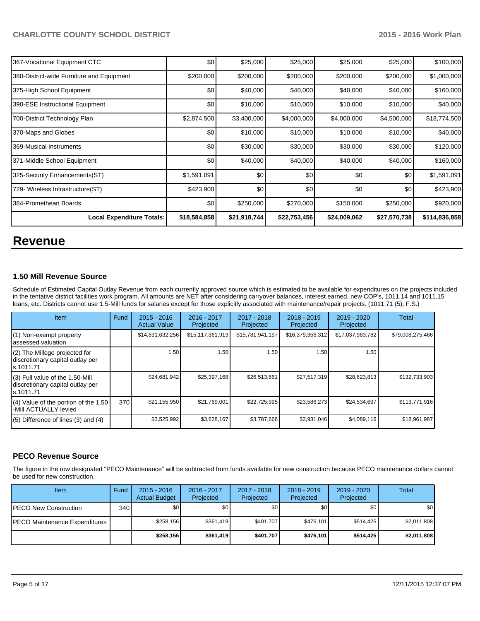| 367-Vocational Equipment CTC              | \$0          | \$25,000     | \$25,000     | \$25,000     | \$25,000     | \$100,000     |
|-------------------------------------------|--------------|--------------|--------------|--------------|--------------|---------------|
| 380-District-wide Furniture and Equipment | \$200,000    | \$200,000    | \$200,000    | \$200,000    | \$200,000    | \$1,000,000   |
| 375-High School Equipment                 | \$0          | \$40,000     | \$40,000     | \$40,000     | \$40,000     | \$160,000     |
| 390-ESE Instructional Equipment           | \$0          | \$10,000     | \$10,000     | \$10,000     | \$10,000     | \$40,000      |
| 700-District Technology Plan              | \$2,874,500  | \$3,400,000  | \$4,000,000  | \$4,000,000  | \$4,500,000  | \$18,774,500  |
| 370-Maps and Globes                       | \$0          | \$10,000     | \$10,000     | \$10,000     | \$10,000     | \$40,000      |
| 369-Musical Instruments                   | \$0          | \$30,000     | \$30,000     | \$30,000     | \$30,000     | \$120,000     |
| 371-Middle School Equipment               | \$0          | \$40,000     | \$40,000     | \$40,000     | \$40,000     | \$160,000     |
| 325-Security Enhancements(ST)             | \$1,591,091  | \$0          | \$0          | \$0          | \$0          | \$1,591,091   |
| 729- Wireless Infrastructure(ST)          | \$423,900    | \$0          | \$0          | \$0          | \$0          | \$423,900     |
| 384-Promethean Boards                     | \$0          | \$250,000    | \$270,000    | \$150,000    | \$250,000    | \$920,000     |
| <b>Local Expenditure Totals:</b>          | \$18,584,858 | \$21,918,744 | \$22,753,456 | \$24,009,062 | \$27,570,738 | \$114,836,858 |

# **Revenue**

#### **1.50 Mill Revenue Source**

Schedule of Estimated Capital Outlay Revenue from each currently approved source which is estimated to be available for expenditures on the projects included in the tentative district facilities work program. All amounts are NET after considering carryover balances, interest earned, new COP's, 1011.14 and 1011.15 loans, etc. Districts cannot use 1.5-Mill funds for salaries except for those explicitly associated with maintenance/repair projects. (1011.71 (5), F.S.)

| Item                                                                              | Fund | $2015 - 2016$<br><b>Actual Value</b> | $2016 - 2017$<br>Projected | 2017 - 2018<br>Projected | $2018 - 2019$<br>Projected | $2019 - 2020$<br>Projected | Total            |
|-----------------------------------------------------------------------------------|------|--------------------------------------|----------------------------|--------------------------|----------------------------|----------------------------|------------------|
| (1) Non-exempt property<br>assessed valuation                                     |      | \$14,691,632,256                     | \$15, 117, 361, 919        | \$15,781,941,197         | \$16,379,356,312           | \$17,037,983,782           | \$79,008,275,466 |
| (2) The Millege projected for<br>discretionary capital outlay per<br>ls.1011.71   |      | 1.50                                 | 1.50 l                     | 1.50                     | 1.50                       | 1.50                       |                  |
| (3) Full value of the 1.50-Mill<br>discretionary capital outlay per<br>ls.1011.71 |      | \$24,681,942                         | \$25,397,168               | \$26,513,661             | \$27,517,319               | \$28,623,813               | \$132,733,903    |
| $(4)$ Value of the portion of the 1.50<br>-Mill ACTUALLY levied                   | 370  | \$21,155,950                         | \$21,769,001               | \$22,725,995             | \$23,586,273               | \$24,534,697               | \$113,771,916    |
| $(5)$ Difference of lines $(3)$ and $(4)$                                         |      | \$3,525,992                          | \$3,628,167                | \$3,787,666              | \$3,931,046                | \$4,089,116                | \$18,961,987     |

### **PECO Revenue Source**

The figure in the row designated "PECO Maintenance" will be subtracted from funds available for new construction because PECO maintenance dollars cannot be used for new construction.

| Item                                  | Fund | $2015 - 2016$<br><b>Actual Budget</b> | 2016 - 2017<br>Projected | 2017 - 2018<br>Projected | $2018 - 2019$<br>Projected | $2019 - 2020$<br>Projected | Total       |
|---------------------------------------|------|---------------------------------------|--------------------------|--------------------------|----------------------------|----------------------------|-------------|
| <b>IPECO New Construction</b>         | 340  | \$0                                   | \$0                      | \$0                      | \$0 <sub>0</sub>           | \$0                        | \$0         |
| <b>IPECO Maintenance Expenditures</b> |      | \$258.156                             | \$361.419                | \$401.707                | \$476.101                  | \$514.425                  | \$2,011,808 |
|                                       |      | \$258.156                             | \$361,419                | \$401.707                | \$476.101                  | \$514.425                  | \$2,011,808 |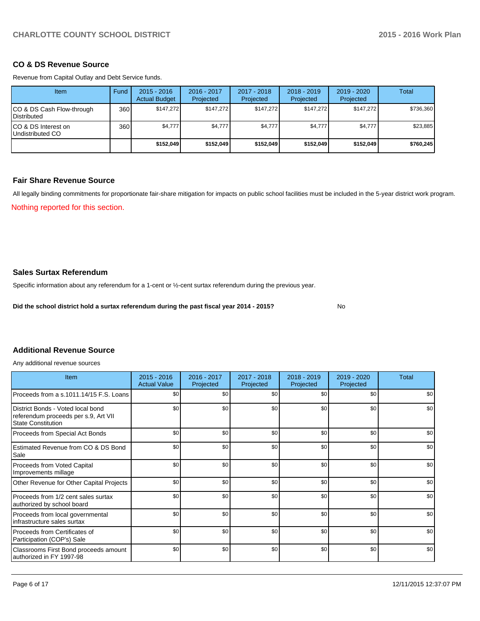#### **CO & DS Revenue Source**

Revenue from Capital Outlay and Debt Service funds.

| Item                                            | Fund | $2015 - 2016$<br><b>Actual Budget</b> | 2016 - 2017<br>Projected | $2017 - 2018$<br>Projected | $2018 - 2019$<br>Projected | $2019 - 2020$<br>Projected | Total     |
|-------------------------------------------------|------|---------------------------------------|--------------------------|----------------------------|----------------------------|----------------------------|-----------|
| CO & DS Cash Flow-through<br><b>Distributed</b> | 360  | \$147.272                             | \$147.272                | \$147.272                  | \$147.272                  | \$147.272                  | \$736,360 |
| CO & DS Interest on<br>Undistributed CO         | 360  | \$4,777                               | \$4,777                  | \$4,777                    | \$4,777                    | \$4,777                    | \$23,885  |
|                                                 |      | \$152,049                             | \$152.049                | \$152.049                  | \$152.049                  | \$152,049                  | \$760,245 |

#### **Fair Share Revenue Source**

All legally binding commitments for proportionate fair-share mitigation for impacts on public school facilities must be included in the 5-year district work program.

Nothing reported for this section.

## **Sales Surtax Referendum**

Specific information about any referendum for a 1-cent or ½-cent surtax referendum during the previous year.

**Did the school district hold a surtax referendum during the past fiscal year 2014 - 2015?**

No

#### **Additional Revenue Source**

Any additional revenue sources

| Item                                                                                                   | $2015 - 2016$<br><b>Actual Value</b> | $2017 - 2018$<br>2016 - 2017<br>Projected<br>Projected |     | $2018 - 2019$<br>Projected | 2019 - 2020<br>Projected | Total |
|--------------------------------------------------------------------------------------------------------|--------------------------------------|--------------------------------------------------------|-----|----------------------------|--------------------------|-------|
| Proceeds from a s.1011.14/15 F.S. Loans                                                                | \$0                                  | \$0                                                    | \$0 | \$0                        | \$0                      | \$0   |
| District Bonds - Voted local bond<br>referendum proceeds per s.9, Art VII<br><b>State Constitution</b> | \$0                                  | \$0                                                    | \$0 | \$0                        | \$0                      | \$0   |
| Proceeds from Special Act Bonds                                                                        | \$0                                  | \$0                                                    | \$0 | \$0                        | \$0                      | \$0   |
| Estimated Revenue from CO & DS Bond<br>Sale                                                            | \$0                                  | \$0                                                    | \$0 | \$0                        | \$0                      | \$0   |
| Proceeds from Voted Capital<br>Improvements millage                                                    | \$0                                  | \$0                                                    | \$0 | \$0                        | \$0                      | \$0   |
| Other Revenue for Other Capital Projects                                                               | \$0                                  | \$0                                                    | \$0 | \$0                        | \$0                      | \$0   |
| Proceeds from 1/2 cent sales surtax<br>authorized by school board                                      | \$0                                  | \$0                                                    | \$0 | \$0                        | \$0                      | \$0   |
| Proceeds from local governmental<br>Infrastructure sales surtax                                        | \$0                                  | \$0                                                    | \$0 | \$0                        | \$0                      | \$0   |
| Proceeds from Certificates of<br>Participation (COP's) Sale                                            | \$0                                  | \$0                                                    | \$0 | \$0                        | \$0                      | \$0   |
| Classrooms First Bond proceeds amount<br>authorized in FY 1997-98                                      | \$0                                  | \$0                                                    | \$0 | \$0                        | \$0                      | \$0   |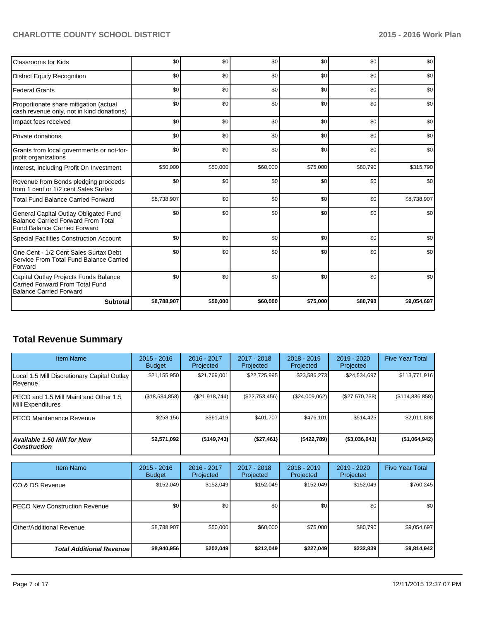| <b>Classrooms for Kids</b>                                                                                                | \$0         | \$0      | \$0      | \$0      | \$0      | \$0         |
|---------------------------------------------------------------------------------------------------------------------------|-------------|----------|----------|----------|----------|-------------|
| <b>District Equity Recognition</b>                                                                                        | \$0         | \$0      | \$0      | \$0      | \$0      | \$0         |
| <b>Federal Grants</b>                                                                                                     | \$0         | \$0      | \$0      | \$0      | \$0      | \$0         |
| Proportionate share mitigation (actual<br>cash revenue only, not in kind donations)                                       | \$0         | \$0      | \$0      | \$0      | \$0      | \$0         |
| Impact fees received                                                                                                      | \$0         | \$0      | \$0      | \$0      | \$0      | \$0         |
| Private donations                                                                                                         | \$0         | \$0      | \$0      | \$0      | \$0      | \$0         |
| Grants from local governments or not-for-<br>profit organizations                                                         | \$0         | \$0      | \$0      | \$0      | \$0      | \$0         |
| Interest, Including Profit On Investment                                                                                  | \$50,000    | \$50,000 | \$60,000 | \$75,000 | \$80,790 | \$315,790   |
| Revenue from Bonds pledging proceeds<br>from 1 cent or 1/2 cent Sales Surtax                                              | \$0         | \$0      | \$0      | \$0      | \$0      | \$0         |
| <b>Total Fund Balance Carried Forward</b>                                                                                 | \$8,738,907 | \$0      | \$0      | \$0      | \$0      | \$8,738,907 |
| General Capital Outlay Obligated Fund<br><b>Balance Carried Forward From Total</b><br><b>Fund Balance Carried Forward</b> | \$0         | \$0      | \$0      | \$0      | \$0      | \$0         |
| Special Facilities Construction Account                                                                                   | \$0         | \$0      | \$0      | \$0      | \$0      | \$0         |
| One Cent - 1/2 Cent Sales Surtax Debt<br>Service From Total Fund Balance Carried<br>Forward                               | \$0         | \$0      | \$0      | \$0      | \$0      | \$0         |
| Capital Outlay Projects Funds Balance<br><b>Carried Forward From Total Fund</b><br><b>Balance Carried Forward</b>         | \$0         | \$0      | \$0      | \$0      | \$0      | \$0         |
| <b>Subtotal</b>                                                                                                           | \$8,788,907 | \$50,000 | \$60,000 | \$75,000 | \$80,790 | \$9,054,697 |

# **Total Revenue Summary**

| <b>Item Name</b>                                            | $2015 - 2016$<br><b>Budget</b> | 2016 - 2017<br>Projected | $2017 - 2018$<br>Projected | $2018 - 2019$<br>Projected | $2019 - 2020$<br>Projected | <b>Five Year Total</b> |
|-------------------------------------------------------------|--------------------------------|--------------------------|----------------------------|----------------------------|----------------------------|------------------------|
| Local 1.5 Mill Discretionary Capital Outlay<br>l Revenue    | \$21,155,950                   | \$21,769,001             | \$22,725,995               | \$23,586,273               | \$24,534,697               | \$113,771,916          |
| IPECO and 1.5 Mill Maint and Other 1.5<br>Mill Expenditures | (\$18,584,858)                 | (S21, 918, 744)          | $(\$22,753,456)$           | (\$24,009,062)             | (\$27,570,738)             | (\$114,836,858)        |
| IPECO Maintenance Revenue                                   | \$258.156                      | \$361.419                | \$401.707                  | \$476.101                  | \$514.425                  | \$2,011,808            |
| Available 1.50 Mill for New l<br>l Construction             | \$2,571,092                    | (\$149,743)              | ( \$27,461]                | $($ \$422,789)             | (\$3,036,041)              | (\$1,064,942)          |

| <b>Item Name</b>                      | $2015 - 2016$<br><b>Budget</b> | 2016 - 2017<br>Projected | 2017 - 2018<br>Projected | $2018 - 2019$<br>Projected | $2019 - 2020$<br>Projected | <b>Five Year Total</b> |
|---------------------------------------|--------------------------------|--------------------------|--------------------------|----------------------------|----------------------------|------------------------|
| ICO & DS Revenue                      | \$152,049                      | \$152,049                | \$152,049                | \$152,049                  | \$152,049                  | \$760,245              |
| <b>IPECO New Construction Revenue</b> | \$0 <sub>1</sub>               | \$0                      | \$0                      | \$0                        | \$0                        | \$0 <sub>1</sub>       |
| <b>IOther/Additional Revenue</b>      | \$8,788,907                    | \$50,000                 | \$60,000                 | \$75,000                   | \$80,790                   | \$9,054,697            |
| <b>Total Additional Revenuel</b>      | \$8,940,956                    | \$202,049                | \$212,049                | \$227,049                  | \$232,839                  | \$9,814,942            |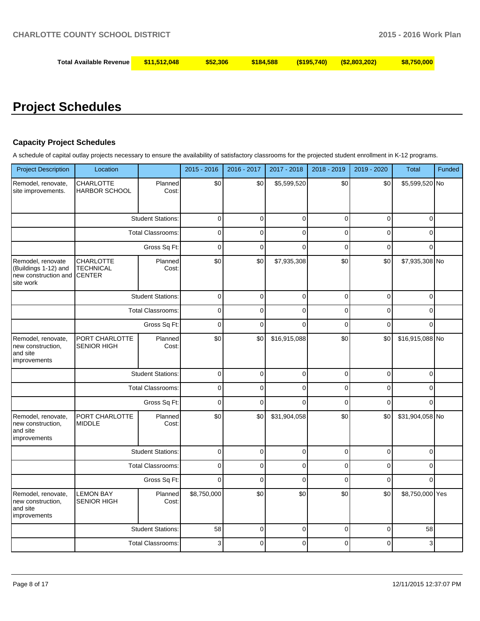| Total Available Revenue | \$11.512.048 | \$52.306 | \$184,588 | (S195.740) | $($ \$2,803,202) | \$8,750,000 |
|-------------------------|--------------|----------|-----------|------------|------------------|-------------|
|-------------------------|--------------|----------|-----------|------------|------------------|-------------|

# **Project Schedules**

# **Capacity Project Schedules**

A schedule of capital outlay projects necessary to ensure the availability of satisfactory classrooms for the projected student enrollment in K-12 programs.

| <b>Project Description</b>                                                     | Location                                              |                          | 2015 - 2016    | 2016 - 2017    | 2017 - 2018    | 2018 - 2019 | 2019 - 2020 | <b>Total</b>    | Funded |
|--------------------------------------------------------------------------------|-------------------------------------------------------|--------------------------|----------------|----------------|----------------|-------------|-------------|-----------------|--------|
| Remodel, renovate,<br>site improvements.                                       | <b>CHARLOTTE</b><br>HARBOR SCHOOL                     | Planned<br>Cost:         | \$0            | \$0            | \$5,599,520    | \$0         | \$0         | \$5,599,520 No  |        |
|                                                                                |                                                       | <b>Student Stations:</b> | $\mathbf 0$    | $\mathbf 0$    | $\mathbf 0$    | 0           | 0           | $\mathbf{0}$    |        |
|                                                                                |                                                       | <b>Total Classrooms:</b> | $\Omega$       | $\Omega$       | $\Omega$       | $\Omega$    | $\Omega$    | $\Omega$        |        |
|                                                                                |                                                       | Gross Sq Ft:             | $\mathbf 0$    | $\mathbf 0$    | $\Omega$       | 0           | $\mathbf 0$ | $\Omega$        |        |
| Remodel, renovate<br>(Buildings 1-12) and<br>new construction and<br>site work | <b>CHARLOTTE</b><br><b>TECHNICAL</b><br><b>CENTER</b> | Planned<br>Cost:         | \$0            | \$0            | \$7,935,308    | \$0         | \$0         | \$7,935,308 No  |        |
|                                                                                |                                                       | <b>Student Stations:</b> | $\mathbf 0$    | $\mathbf 0$    | $\mathbf 0$    | 0           | 0           | 0               |        |
|                                                                                |                                                       | <b>Total Classrooms:</b> | $\mathbf 0$    | $\Omega$       | $\overline{0}$ | 0           | $\mathbf 0$ | 0               |        |
|                                                                                |                                                       | Gross Sq Ft:             | $\overline{0}$ | $\Omega$       | $\Omega$       | $\Omega$    | $\Omega$    | 0               |        |
| Remodel, renovate,<br>new construction,<br>and site<br>improvements            | PORT CHARLOTTE<br><b>SENIOR HIGH</b>                  | Planned<br>Cost:         | \$0            | \$0            | \$16,915,088   | \$0         | \$0         | \$16,915,088 No |        |
|                                                                                |                                                       | <b>Student Stations:</b> | $\mathbf 0$    | $\mathbf 0$    | $\mathbf 0$    | 0           | 0           | $\mathbf{0}$    |        |
|                                                                                |                                                       | <b>Total Classrooms:</b> | $\Omega$       | $\Omega$       | $\Omega$       | 0           | 0           | $\Omega$        |        |
|                                                                                |                                                       | Gross Sq Ft:             | $\overline{0}$ | $\Omega$       | $\Omega$       | 0           | $\mathbf 0$ | $\Omega$        |        |
| Remodel, renovate,<br>new construction,<br>and site<br>improvements            | PORT CHARLOTTE<br><b>MIDDLE</b>                       | Planned<br>Cost:         | \$0            | \$0            | \$31,904,058   | \$0         | \$0         | \$31,904,058 No |        |
|                                                                                |                                                       | <b>Student Stations:</b> | $\mathbf 0$    | $\mathbf 0$    | $\mathbf 0$    | 0           | 0           | 0               |        |
|                                                                                |                                                       | <b>Total Classrooms:</b> | $\mathbf 0$    | $\Omega$       | $\mathbf 0$    | 0           | $\pmb{0}$   | 0               |        |
|                                                                                |                                                       | Gross Sq Ft:             | $\Omega$       | $\overline{0}$ | $\overline{0}$ | 0           | $\mathbf 0$ | 0               |        |
| Remodel, renovate,<br>new construction,<br>and site<br>improvements            | <b>LEMON BAY</b><br><b>SENIOR HIGH</b>                | Planned<br>Cost:         | \$8,750,000    | \$0            | \$0            | \$0         | \$0         | \$8,750,000 Yes |        |
|                                                                                |                                                       | <b>Student Stations:</b> | 58             | $\mathbf 0$    | $\mathbf 0$    | 0           | 0           | 58              |        |
|                                                                                |                                                       | <b>Total Classrooms:</b> | 3              | $\Omega$       | $\mathbf 0$    | $\Omega$    | 0           | 3               |        |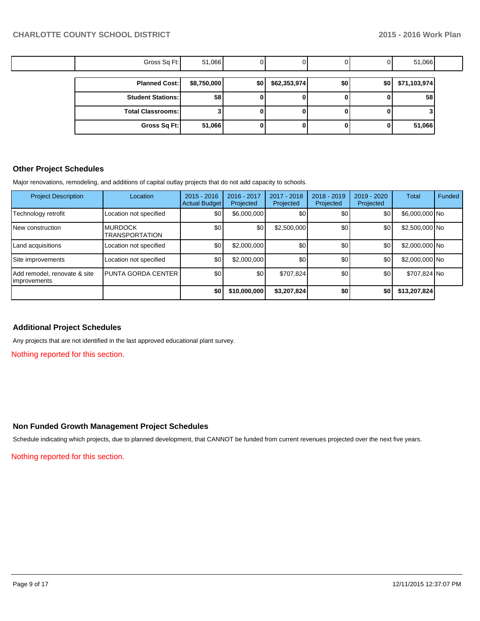| Gross Sq Ft:             | 51,066      |     |               |     |     | 51,066       |  |
|--------------------------|-------------|-----|---------------|-----|-----|--------------|--|
|                          |             |     |               |     |     |              |  |
| <b>Planned Cost:</b>     | \$8,750,000 | \$0 | \$62,353,974] | \$0 | \$0 | \$71,103,974 |  |
| <b>Student Stations:</b> | 58          |     |               | u   |     | 58           |  |
| <b>Total Classrooms:</b> |             |     |               | o   |     |              |  |
| Gross Sq Ft:             | 51,066      |     |               | o   | 0   | 51,066       |  |

## **Other Project Schedules**

Major renovations, remodeling, and additions of capital outlay projects that do not add capacity to schools.

| <b>Project Description</b>                   | Location                                | $2015 - 2016$<br><b>Actual Budget</b> | 2016 - 2017<br>Projected | 2017 - 2018<br>Projected | $2018 - 2019$<br>Projected | 2019 - 2020<br>Projected | <b>Total</b>   | Funded |
|----------------------------------------------|-----------------------------------------|---------------------------------------|--------------------------|--------------------------|----------------------------|--------------------------|----------------|--------|
| Technology retrofit                          | Location not specified                  | \$0                                   | \$6,000,000              | \$0                      | \$0                        | \$0                      | \$6,000,000 No |        |
| <b>INew construction</b>                     | <b>MURDOCK</b><br><b>TRANSPORTATION</b> | \$0                                   | \$0                      | \$2,500,000              | \$0                        | \$0                      | \$2,500,000 No |        |
| Land acquisitions                            | Location not specified                  | \$0                                   | \$2,000,000              | \$0                      | \$0                        | \$0                      | \$2,000,000 No |        |
| Site improvements                            | Location not specified                  | \$0                                   | \$2,000,000              | \$0                      | \$0                        | \$0                      | \$2,000,000 No |        |
| Add remodel, renovate & site<br>Improvements | <b>PUNTA GORDA CENTER</b>               | \$0                                   | \$0                      | \$707,824                | \$0                        | \$0                      | \$707,824 No   |        |
|                                              |                                         | \$0                                   | \$10,000,000             | \$3,207,824              | \$0                        | \$0                      | \$13,207,824   |        |

## **Additional Project Schedules**

Any projects that are not identified in the last approved educational plant survey.

Nothing reported for this section.

#### **Non Funded Growth Management Project Schedules**

Schedule indicating which projects, due to planned development, that CANNOT be funded from current revenues projected over the next five years.

Nothing reported for this section.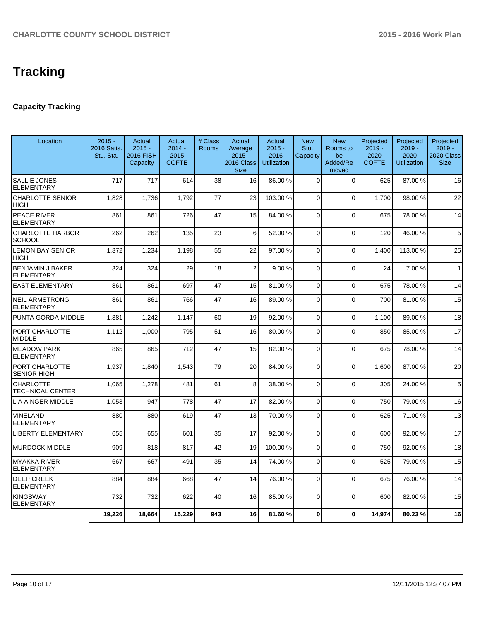# **Tracking**

# **Capacity Tracking**

| Location                                     | $2015 -$<br>2016 Satis.<br>Stu. Sta. | Actual<br>$2015 -$<br>2016 FISH<br>Capacity | Actual<br>$2014 -$<br>2015<br><b>COFTE</b> | # Class<br>Rooms | Actual<br>Average<br>$2015 -$<br>2016 Class<br><b>Size</b> | Actual<br>$2015 -$<br>2016<br><b>Utilization</b> | <b>New</b><br>Stu.<br>Capacity | <b>New</b><br>Rooms to<br>be<br>Added/Re<br>moved | Projected<br>$2019 -$<br>2020<br><b>COFTE</b> | Projected<br>$2019 -$<br>2020<br><b>Utilization</b> | Projected<br>$2019 -$<br>2020 Class<br><b>Size</b> |
|----------------------------------------------|--------------------------------------|---------------------------------------------|--------------------------------------------|------------------|------------------------------------------------------------|--------------------------------------------------|--------------------------------|---------------------------------------------------|-----------------------------------------------|-----------------------------------------------------|----------------------------------------------------|
| <b>SALLIE JONES</b><br><b>ELEMENTARY</b>     | 717                                  | 717                                         | 614                                        | 38               | 16                                                         | 86.00 %                                          | $\Omega$                       | $\Omega$                                          | 625                                           | 87.00 %                                             | 16                                                 |
| <b>CHARLOTTE SENIOR</b><br>HIGH              | 1,828                                | 1,736                                       | 1,792                                      | 77               | 23                                                         | 103.00 %                                         | $\overline{0}$                 | $\Omega$                                          | 1.700                                         | 98.00 %                                             | 22                                                 |
| PEACE RIVER<br><b>ELEMENTARY</b>             | 861                                  | 861                                         | 726                                        | 47               | 15                                                         | 84.00 %                                          | 0                              | $\Omega$                                          | 675                                           | 78.00 %                                             | 14                                                 |
| <b>CHARLOTTE HARBOR</b><br><b>SCHOOL</b>     | 262                                  | 262                                         | 135                                        | 23               | 6                                                          | 52.00 %                                          | $\Omega$                       | $\Omega$                                          | 120                                           | 46.00%                                              | 5                                                  |
| <b>LEMON BAY SENIOR</b><br>HIGH              | 1,372                                | 1,234                                       | 1,198                                      | 55               | 22                                                         | 97.00 %                                          | 0                              | $\Omega$                                          | 1,400                                         | 113.00 %                                            | 25                                                 |
| <b>BENJAMIN J BAKER</b><br><b>ELEMENTARY</b> | 324                                  | 324                                         | 29                                         | 18               | $\overline{2}$                                             | 9.00%                                            | $\mathbf 0$                    | $\Omega$                                          | 24                                            | 7.00%                                               | $\mathbf{1}$                                       |
| <b>EAST ELEMENTARY</b>                       | 861                                  | 861                                         | 697                                        | 47               | 15                                                         | 81.00 %                                          | $\Omega$                       | $\Omega$                                          | 675                                           | 78.00 %                                             | 14                                                 |
| NEIL ARMSTRONG<br><b>ELEMENTARY</b>          | 861                                  | 861                                         | 766                                        | 47               | 16                                                         | 89.00 %                                          | $\overline{0}$                 | $\Omega$                                          | 700                                           | 81.00%                                              | 15                                                 |
| PUNTA GORDA MIDDLE                           | 1,381                                | 1,242                                       | 1,147                                      | 60               | 19                                                         | 92.00 %                                          | 0                              | $\Omega$                                          | 1.100                                         | 89.00 %                                             | 18                                                 |
| PORT CHARLOTTE<br><b>MIDDLE</b>              | 1,112                                | 1,000                                       | 795                                        | 51               | 16                                                         | 80.00 %                                          | 0                              | $\Omega$                                          | 850                                           | 85.00 %                                             | 17                                                 |
| <b>MEADOW PARK</b><br>ELEMENTARY             | 865                                  | 865                                         | 712                                        | 47               | 15                                                         | 82.00 %                                          | $\mathbf 0$                    | $\Omega$                                          | 675                                           | 78.00 %                                             | 14                                                 |
| PORT CHARLOTTE<br><b>SENIOR HIGH</b>         | 1,937                                | 1,840                                       | 1,543                                      | 79               | 20                                                         | 84.00 %                                          | 0                              | $\Omega$                                          | 1,600                                         | 87.00 %                                             | 20                                                 |
| <b>CHARLOTTE</b><br>TECHNICAL CENTER         | 1,065                                | 1,278                                       | 481                                        | 61               | 8                                                          | 38.00 %                                          | $\Omega$                       | $\Omega$                                          | 305                                           | 24.00 %                                             | 5                                                  |
| L A AINGER MIDDLE                            | 1,053                                | 947                                         | 778                                        | 47               | 17                                                         | 82.00 %                                          | 0                              | $\Omega$                                          | 750                                           | 79.00 %                                             | 16                                                 |
| VINELAND<br><b>ELEMENTARY</b>                | 880                                  | 880                                         | 619                                        | 47               | 13                                                         | 70.00 %                                          | $\Omega$                       | $\Omega$                                          | 625                                           | 71.00 %                                             | 13                                                 |
| <b>LIBERTY ELEMENTARY</b>                    | 655                                  | 655                                         | 601                                        | 35               | 17                                                         | 92.00 %                                          | 0                              | $\Omega$                                          | 600                                           | 92.00%                                              | 17                                                 |
| <b>MURDOCK MIDDLE</b>                        | 909                                  | 818                                         | 817                                        | 42               | 19                                                         | 100.00 %                                         | 0                              | $\Omega$                                          | 750                                           | 92.00 %                                             | 18                                                 |
| MYAKKA RIVER<br><b>ELEMENTARY</b>            | 667                                  | 667                                         | 491                                        | 35               | 14                                                         | 74.00 %                                          | $\Omega$                       | $\Omega$                                          | 525                                           | 79.00 %                                             | 15                                                 |
| <b>DEEP CREEK</b><br><b>ELEMENTARY</b>       | 884                                  | 884                                         | 668                                        | 47               | 14                                                         | 76.00 %                                          | $\Omega$                       | $\Omega$                                          | 675                                           | 76.00 %                                             | 14                                                 |
| <b>KINGSWAY</b><br><b>ELEMENTARY</b>         | 732                                  | 732                                         | 622                                        | 40               | 16                                                         | 85.00 %                                          | $\Omega$                       | $\Omega$                                          | 600                                           | 82.00 %                                             | 15                                                 |
|                                              | 19,226                               | 18,664                                      | 15,229                                     | 943              | 16                                                         | 81.60%                                           | 0                              | $\mathbf{0}$                                      | 14,974                                        | 80.23%                                              | 16                                                 |
|                                              |                                      |                                             |                                            |                  |                                                            |                                                  |                                |                                                   |                                               |                                                     |                                                    |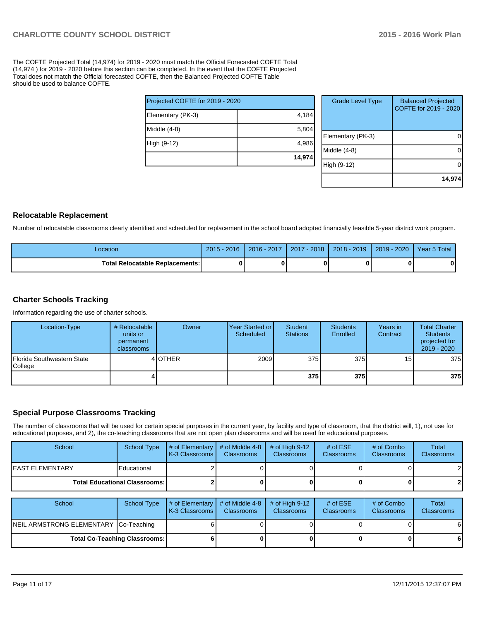The COFTE Projected Total (14,974) for 2019 - 2020 must match the Official Forecasted COFTE Total (14,974 ) for 2019 - 2020 before this section can be completed. In the event that the COFTE Projected Total does not match the Official forecasted COFTE, then the Balanced Projected COFTE Table should be used to balance COFTE.

|                                 | 14,974 |
|---------------------------------|--------|
| High (9-12)                     | 4,986  |
| Middle (4-8)                    | 5,804  |
| Elementary (PK-3)               | 4,184  |
| Projected COFTE for 2019 - 2020 |        |

| <b>Grade Level Type</b> | <b>Balanced Projected</b><br>COFTE for 2019 - 2020 |
|-------------------------|----------------------------------------------------|
| Elementary (PK-3)       |                                                    |
| Middle $(4-8)$          |                                                    |
| High (9-12)             |                                                    |
|                         | 14,974                                             |

### **Relocatable Replacement**

Number of relocatable classrooms clearly identified and scheduled for replacement in the school board adopted financially feasible 5-year district work program.

| Location                                 | $2015 - 2016$ | 2016 - 2017 | 2017 - 2018 | $2018 - 2019$ | 2019 - 2020 | Year 5 Total |
|------------------------------------------|---------------|-------------|-------------|---------------|-------------|--------------|
| <b>Total Relocatable Replacements: I</b> |               |             | 0           |               |             |              |

### **Charter Schools Tracking**

Information regarding the use of charter schools.

| Location-Type                         | # Relocatable<br>units or<br>permanent<br>classrooms | Owner          | Year Started or I<br>Scheduled | Student<br>Stations | <b>Students</b><br><b>Enrolled</b> | Years in<br>Contract | <b>Total Charter</b><br><b>Students</b><br>projected for<br>$2019 - 2020$ |
|---------------------------------------|------------------------------------------------------|----------------|--------------------------------|---------------------|------------------------------------|----------------------|---------------------------------------------------------------------------|
| Florida Southwestern State<br>College |                                                      | 4 <b>OTHER</b> | 2009                           | 375                 | 375                                | 15 <sub>l</sub>      | 375                                                                       |
|                                       |                                                      |                |                                | 375                 | 375I                               |                      | 375                                                                       |

## **Special Purpose Classrooms Tracking**

The number of classrooms that will be used for certain special purposes in the current year, by facility and type of classroom, that the district will, 1), not use for educational purposes, and 2), the co-teaching classrooms that are not open plan classrooms and will be used for educational purposes.

| School           | School Type                            | $\parallel$ # of Elementary $\parallel$ # of Middle 4-8 $\parallel$<br><b>IK-3 Classrooms L</b> | <b>Classrooms</b> | $\#$ of High 9-12<br><b>Classrooms</b> | # of $ESE$<br><b>Classrooms</b> | # of Combo<br><b>Classrooms</b> | Total<br><b>Classrooms</b> |
|------------------|----------------------------------------|-------------------------------------------------------------------------------------------------|-------------------|----------------------------------------|---------------------------------|---------------------------------|----------------------------|
| IEAST ELEMENTARY | Educational                            |                                                                                                 |                   |                                        |                                 |                                 | 2                          |
|                  | <b>Total Educational Classrooms: I</b> |                                                                                                 |                   |                                        |                                 | 0                               | 2                          |

| School                                | School Type | $\parallel$ # of Elementary $\parallel$ # of Middle 4-8 $\parallel$<br><b>IK-3 Classrooms I</b> | <b>Classrooms</b> | $\#$ of High 9-12<br><b>Classrooms</b> | # of $ESE$<br><b>Classrooms</b> | # of Combo<br><b>Classrooms</b> | Total<br><b>Classrooms</b> |
|---------------------------------------|-------------|-------------------------------------------------------------------------------------------------|-------------------|----------------------------------------|---------------------------------|---------------------------------|----------------------------|
| NEIL ARMSTRONG ELEMENTARY Co-Teaching |             |                                                                                                 |                   |                                        |                                 |                                 | 6                          |
| <b>Total Co-Teaching Classrooms:</b>  |             |                                                                                                 |                   |                                        |                                 |                                 | 6                          |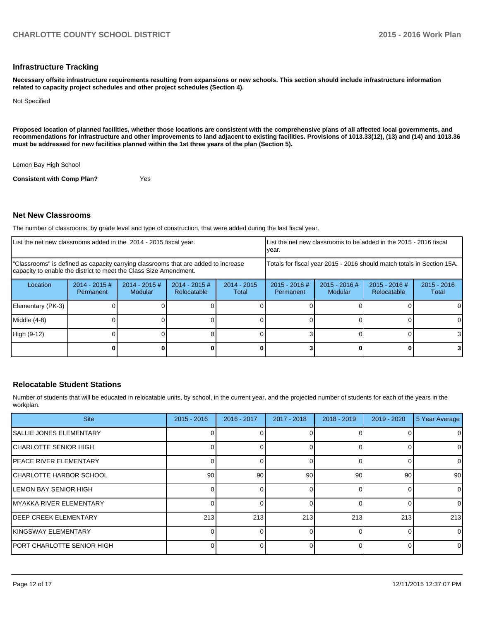#### **Infrastructure Tracking**

**Necessary offsite infrastructure requirements resulting from expansions or new schools. This section should include infrastructure information related to capacity project schedules and other project schedules (Section 4).**

Not Specified

**Proposed location of planned facilities, whether those locations are consistent with the comprehensive plans of all affected local governments, and recommendations for infrastructure and other improvements to land adjacent to existing facilities. Provisions of 1013.33(12), (13) and (14) and 1013.36 must be addressed for new facilities planned within the 1st three years of the plan (Section 5).**

Lemon Bay High School

**Consistent with Comp Plan?** Yes

#### **Net New Classrooms**

The number of classrooms, by grade level and type of construction, that were added during the last fiscal year.

| List the net new classrooms added in the 2014 - 2015 fiscal year. |                                      |                                                                                                                                                         |                                | year.                  | List the net new classrooms to be added in the 2015 - 2016 fiscal      |                            |                                |                        |
|-------------------------------------------------------------------|--------------------------------------|---------------------------------------------------------------------------------------------------------------------------------------------------------|--------------------------------|------------------------|------------------------------------------------------------------------|----------------------------|--------------------------------|------------------------|
|                                                                   |                                      | "Classrooms" is defined as capacity carrying classrooms that are added to increase<br>capacity to enable the district to meet the Class Size Amendment. |                                |                        | Totals for fiscal year 2015 - 2016 should match totals in Section 15A. |                            |                                |                        |
| Location                                                          | $2014 - 2015 \#$<br><b>Permanent</b> | $2014 - 2015$ #<br>Modular                                                                                                                              | $2014 - 2015$ #<br>Relocatable | $2014 - 2015$<br>Total | $2015 - 2016$ #<br>Permanent                                           | $2015 - 2016$ #<br>Modular | $2015 - 2016$ #<br>Relocatable | $2015 - 2016$<br>Total |
| Elementary (PK-3)                                                 |                                      |                                                                                                                                                         |                                |                        |                                                                        |                            |                                |                        |
| Middle (4-8)                                                      |                                      |                                                                                                                                                         |                                |                        |                                                                        |                            |                                |                        |
| High (9-12)                                                       |                                      |                                                                                                                                                         |                                |                        |                                                                        |                            |                                | 31                     |
|                                                                   |                                      |                                                                                                                                                         |                                |                        |                                                                        |                            |                                | 31                     |

#### **Relocatable Student Stations**

Number of students that will be educated in relocatable units, by school, in the current year, and the projected number of students for each of the years in the workplan.

| <b>Site</b>                     | $2015 - 2016$   | 2016 - 2017 | 2017 - 2018 | $2018 - 2019$ | $2019 - 2020$   | 5 Year Average |
|---------------------------------|-----------------|-------------|-------------|---------------|-----------------|----------------|
| <b>ISALLIE JONES ELEMENTARY</b> |                 |             |             |               |                 | 0              |
| CHARLOTTE SENIOR HIGH           |                 |             |             |               |                 | 0              |
| <b>IPEACE RIVER ELEMENTARY</b>  |                 |             |             |               |                 | $\mathbf 0$    |
| ICHARLOTTE HARBOR SCHOOL        | 90 <sub>1</sub> | 90          | 90          | 90            | 90 <sup>1</sup> | 90             |
| <b>ILEMON BAY SENIOR HIGH</b>   |                 |             |             |               |                 | 0              |
| <b>IMYAKKA RIVER ELEMENTARY</b> |                 |             |             |               |                 | $\mathbf 0$    |
| <b>IDEEP CREEK ELEMENTARY</b>   | 213             | 213         | 213         | 213           | 213             | 213            |
| <b>IKINGSWAY ELEMENTARY</b>     |                 |             |             |               |                 | $\mathbf 0$    |
| IPORT CHARLOTTE SENIOR HIGH     |                 |             |             |               |                 | 0              |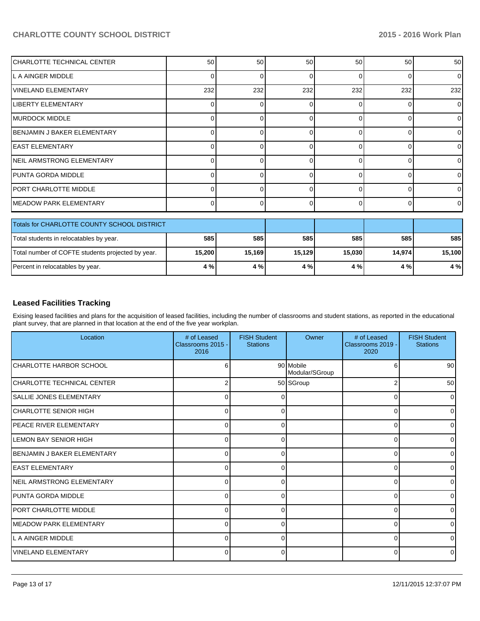| CHARLOTTE TECHNICAL CENTER                        | 50     | 50           | 50     | 50       | 50       | 50       |
|---------------------------------------------------|--------|--------------|--------|----------|----------|----------|
| L A AINGER MIDDLE                                 |        |              | 0      | $\Omega$ | $\Omega$ | $\Omega$ |
| <b>VINELAND ELEMENTARY</b>                        | 232    | 232          | 232    | 232      | 232      | 232      |
| <b>LIBERTY ELEMENTARY</b>                         | ∩      | <sup>0</sup> | 0      | 0        | $\Omega$ | $\Omega$ |
| <b>IMURDOCK MIDDLE</b>                            |        |              | 0      | O        | 0        | 0        |
| BENJAMIN J BAKER ELEMENTARY                       | 0      |              | 0      | 0        | $\Omega$ |          |
| <b>EAST ELEMENTARY</b>                            |        |              | 0      | n        | $\Omega$ |          |
| NEIL ARMSTRONG ELEMENTARY                         | 0      |              | 0      | 0        | $\Omega$ | 0        |
| PUNTA GORDA MIDDLE                                |        |              | 0      | $\Omega$ | 0        | $\Omega$ |
| PORT CHARLOTTE MIDDLE                             | O      | 0            | 0      | 0        | $\Omega$ | 0        |
| <b>IMEADOW PARK ELEMENTARY</b>                    | 0      | <sup>0</sup> | 0      | 0        | $\Omega$ | $\Omega$ |
| Totals for CHARLOTTE COUNTY SCHOOL DISTRICT       |        |              |        |          |          |          |
| Total students in relocatables by year.           | 585    | 585          | 585    | 585      | 585      | 585      |
| Total number of COFTE students projected by year. | 15,200 | 15,169       | 15,129 | 15,030   | 14,974   | 15,100   |
| Percent in relocatables by year.                  | 4 %    | 4 %          | 4 %    | 4 %      | 4 %      | 4 %      |

## **Leased Facilities Tracking**

Exising leased facilities and plans for the acquisition of leased facilities, including the number of classrooms and student stations, as reported in the educational plant survey, that are planned in that location at the end of the five year workplan.

| Location                            | # of Leased<br>Classrooms 2015 -<br>2016 | <b>FISH Student</b><br><b>Stations</b> | Owner                       | # of Leased<br>Classrooms 2019 -<br>2020 | <b>FISH Student</b><br><b>Stations</b> |
|-------------------------------------|------------------------------------------|----------------------------------------|-----------------------------|------------------------------------------|----------------------------------------|
| CHARLOTTE HARBOR SCHOOL             | 6                                        |                                        | 90 Mobile<br>Modular/SGroup | 6                                        | 90 <sup>1</sup>                        |
| ICHARLOTTE TECHNICAL CENTER         | 2                                        |                                        | 50 SGroup                   | 2                                        | 50 <sup>1</sup>                        |
| <b>SALLIE JONES ELEMENTARY</b>      | 0                                        |                                        |                             | $\Omega$                                 | $\overline{0}$                         |
| ICHARLOTTE SENIOR HIGH              | $\Omega$                                 | 0                                      |                             | 0                                        | $\overline{0}$                         |
| <b>IPEACE RIVER ELEMENTARY</b>      | $\Omega$                                 | ∩                                      |                             | 0                                        | $\overline{0}$                         |
| ILEMON BAY SENIOR HIGH              | $\Omega$                                 |                                        |                             | $\Omega$                                 | ٥I                                     |
| <b>IBENJAMIN J BAKER ELEMENTARY</b> | $\Omega$                                 |                                        |                             | $\Omega$                                 | $\overline{0}$                         |
| lEAST ELEMENTARY                    | 0                                        | 0                                      |                             | 0                                        | $\overline{0}$                         |
| NEIL ARMSTRONG ELEMENTARY           | $\Omega$                                 | ∩                                      |                             | $\Omega$                                 | $\overline{0}$                         |
| IPUNTA GORDA MIDDLE                 | 0                                        |                                        |                             | 0                                        | $\overline{0}$                         |
| <b>PORT CHARLOTTE MIDDLE</b>        | $\Omega$                                 | $\Omega$                               |                             | 0                                        | $\overline{0}$                         |
| <b>IMEADOW PARK ELEMENTARY</b>      | $\Omega$                                 | ∩                                      |                             | $\Omega$                                 | $\overline{0}$                         |
| L A AINGER MIDDLE                   | 0                                        |                                        |                             | $\Omega$                                 | 0                                      |
| lVINELAND ELEMENTARY                | $\overline{0}$                           | 0                                      |                             | 0                                        | $\overline{0}$                         |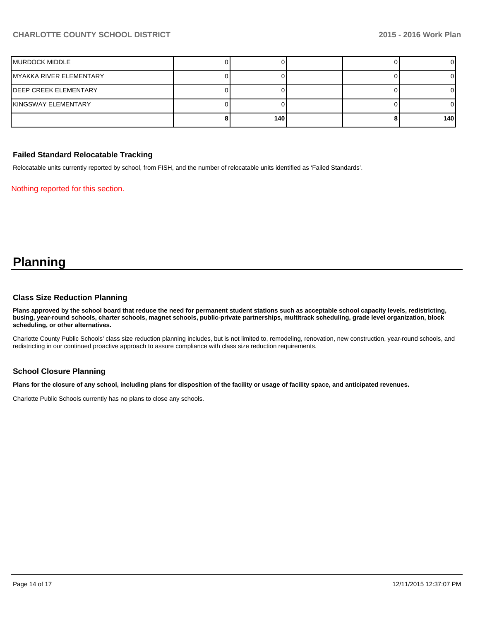| MURDOCK MIDDLE          |     |  |     |
|-------------------------|-----|--|-----|
| MYAKKA RIVER ELEMENTARY |     |  |     |
| IDEEP CREEK ELEMENTARY  |     |  |     |
| İKINGSWAY ELEMENTARY    |     |  |     |
|                         | 140 |  | 140 |

## **Failed Standard Relocatable Tracking**

Relocatable units currently reported by school, from FISH, and the number of relocatable units identified as 'Failed Standards'.

Nothing reported for this section.

# **Planning**

#### **Class Size Reduction Planning**

**Plans approved by the school board that reduce the need for permanent student stations such as acceptable school capacity levels, redistricting, busing, year-round schools, charter schools, magnet schools, public-private partnerships, multitrack scheduling, grade level organization, block scheduling, or other alternatives.**

Charlotte County Public Schools' class size reduction planning includes, but is not limited to, remodeling, renovation, new construction, year-round schools, and redistricting in our continued proactive approach to assure compliance with class size reduction requirements.

## **School Closure Planning**

**Plans for the closure of any school, including plans for disposition of the facility or usage of facility space, and anticipated revenues.**

Charlotte Public Schools currently has no plans to close any schools.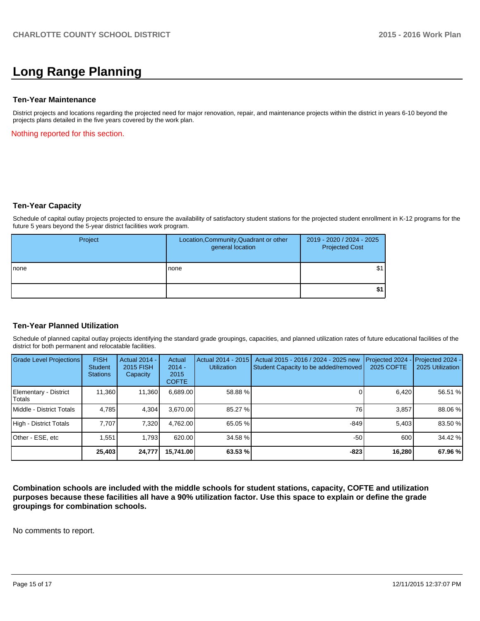# **Long Range Planning**

#### **Ten-Year Maintenance**

District projects and locations regarding the projected need for major renovation, repair, and maintenance projects within the district in years 6-10 beyond the projects plans detailed in the five years covered by the work plan.

Nothing reported for this section.

#### **Ten-Year Capacity**

Schedule of capital outlay projects projected to ensure the availability of satisfactory student stations for the projected student enrollment in K-12 programs for the future 5 years beyond the 5-year district facilities work program.

| Project | Location, Community, Quadrant or other<br>general location | 2019 - 2020 / 2024 - 2025<br><b>Projected Cost</b> |
|---------|------------------------------------------------------------|----------------------------------------------------|
| Inone   | Inone                                                      | \$1                                                |
|         |                                                            | \$1                                                |

#### **Ten-Year Planned Utilization**

Schedule of planned capital outlay projects identifying the standard grade groupings, capacities, and planned utilization rates of future educational facilities of the district for both permanent and relocatable facilities.

| <b>Grade Level Projections</b>  | <b>FISH</b><br><b>Student</b><br><b>Stations</b> | <b>Actual 2014 -</b><br>2015 FISH<br>Capacity | Actual<br>$2014 -$<br>2015<br><b>COFTE</b> | Actual 2014 - 2015<br><b>Utilization</b> | Actual 2015 - 2016 / 2024 - 2025 new<br>Student Capacity to be added/removed | Projected 2024<br>2025 COFTE | Projected 2024 -<br>2025 Utilization |
|---------------------------------|--------------------------------------------------|-----------------------------------------------|--------------------------------------------|------------------------------------------|------------------------------------------------------------------------------|------------------------------|--------------------------------------|
| Elementary - District<br>Totals | 11,360                                           | 11,360                                        | 6,689.00                                   | 58.88 %                                  |                                                                              | 6,420                        | 56.51 %                              |
| Middle - District Totals        | 4.785                                            | 4.304                                         | 3.670.00                                   | 85.27 %                                  | 76                                                                           | 3.857                        | 88.06 %                              |
| High - District Totals          | 7.707                                            | 7.320                                         | 4.762.00                                   | 65.05 %                                  | $-849$                                                                       | 5.403                        | 83.50 %                              |
| Other - ESE, etc                | 1.551                                            | 1.793                                         | 620.00                                     | 34.58 %                                  | $-50$                                                                        | 600                          | 34.42 %                              |
|                                 | 25,403                                           | 24,777                                        | 15,741.00                                  | 63.53 %                                  | $-823$                                                                       | 16,280                       | 67.96 %                              |

**Combination schools are included with the middle schools for student stations, capacity, COFTE and utilization purposes because these facilities all have a 90% utilization factor. Use this space to explain or define the grade groupings for combination schools.**

No comments to report.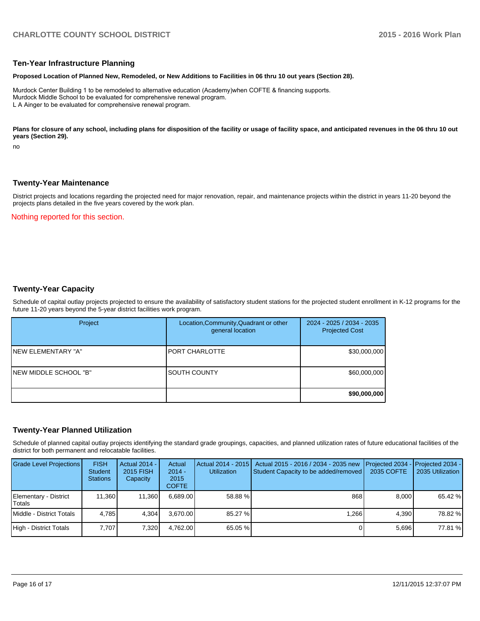#### **Ten-Year Infrastructure Planning**

#### **Proposed Location of Planned New, Remodeled, or New Additions to Facilities in 06 thru 10 out years (Section 28).**

Murdock Center Building 1 to be remodeled to alternative education (Academy)when COFTE & financing supports. Murdock Middle School to be evaluated for comprehensive renewal program. L A Ainger to be evaluated for comprehensive renewal program.

Plans for closure of any school, including plans for disposition of the facility or usage of facility space, and anticipated revenues in the 06 thru 10 out **years (Section 29).**

no

#### **Twenty-Year Maintenance**

District projects and locations regarding the projected need for major renovation, repair, and maintenance projects within the district in years 11-20 beyond the projects plans detailed in the five years covered by the work plan.

#### Nothing reported for this section.

#### **Twenty-Year Capacity**

Schedule of capital outlay projects projected to ensure the availability of satisfactory student stations for the projected student enrollment in K-12 programs for the future 11-20 years beyond the 5-year district facilities work program.

| Project                | Location, Community, Quadrant or other<br>general location | 2024 - 2025 / 2034 - 2035<br><b>Projected Cost</b> |
|------------------------|------------------------------------------------------------|----------------------------------------------------|
| INEW ELEMENTARY "A"    | IPORT CHARLOTTE                                            | \$30,000,000                                       |
| INEW MIDDLE SCHOOL "B" | ISOUTH COUNTY                                              | \$60,000,000                                       |
|                        |                                                            | \$90,000,000                                       |

#### **Twenty-Year Planned Utilization**

Schedule of planned capital outlay projects identifying the standard grade groupings, capacities, and planned utilization rates of future educational facilities of the district for both permanent and relocatable facilities.

| <b>Grade Level Projections</b>  | <b>FISH</b><br><b>Student</b><br><b>Stations</b> | Actual 2014 -<br>2015 FISH<br>Capacity | Actual<br>$2014 -$<br>2015<br><b>COFTE</b> | Actual 2014 - 2015<br><b>Utilization</b> | Actual 2015 - 2016 / 2034 - 2035 new<br>Student Capacity to be added/removed | 2035 COFTE | <b>IProjected 2034 - IProjected 2034 -</b><br>2035 Utilization |
|---------------------------------|--------------------------------------------------|----------------------------------------|--------------------------------------------|------------------------------------------|------------------------------------------------------------------------------|------------|----------------------------------------------------------------|
| Elementary - District<br>Totals | 11.360                                           | 11.360                                 | 6.689.00                                   | 58.88 %                                  | 868                                                                          | 8.000      | 65.42 %                                                        |
| Middle - District Totals        | 4.785                                            | 4.304                                  | 3.670.00                                   | 85.27 %                                  | 1.266                                                                        | 4.390      | 78.82 %                                                        |
| High - District Totals          | 7.707                                            | 7,320                                  | 4,762.00                                   | 65.05 %                                  |                                                                              | 5.696      | 77.81 %                                                        |